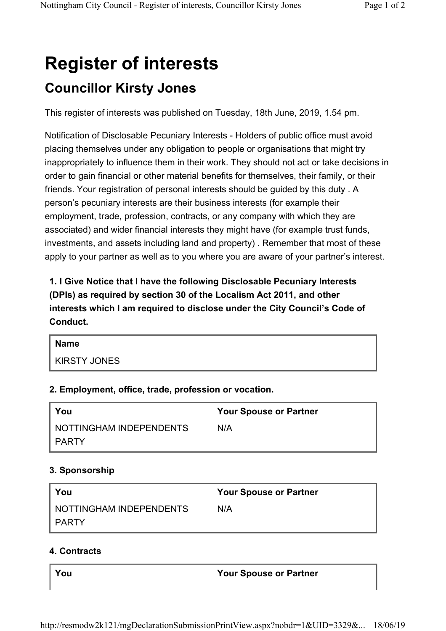# **Register of interests Councillor Kirsty Jones**

This register of interests was published on Tuesday, 18th June, 2019, 1.54 pm.

Notification of Disclosable Pecuniary Interests - Holders of public office must avoid placing themselves under any obligation to people or organisations that might try inappropriately to influence them in their work. They should not act or take decisions in order to gain financial or other material benefits for themselves, their family, or their friends. Your registration of personal interests should be guided by this duty . A person's pecuniary interests are their business interests (for example their employment, trade, profession, contracts, or any company with which they are associated) and wider financial interests they might have (for example trust funds, investments, and assets including land and property) . Remember that most of these apply to your partner as well as to you where you are aware of your partner's interest.

**1. I Give Notice that I have the following Disclosable Pecuniary Interests (DPIs) as required by section 30 of the Localism Act 2011, and other interests which I am required to disclose under the City Council's Code of Conduct.** 

| Name         |
|--------------|
| KIRSTY JONES |

## **2. Employment, office, trade, profession or vocation.**

| You                       | <b>Your Spouse or Partner</b> |
|---------------------------|-------------------------------|
| I NOTTINGHAM INDEPENDENTS | N/A                           |
| I PARTY                   |                               |

# **3. Sponsorship**

| You                       | <b>Your Spouse or Partner</b> |
|---------------------------|-------------------------------|
| I NOTTINGHAM INDEPENDENTS | N/A                           |
| I PARTY                   |                               |

## **4. Contracts**

**You Your Spouse or Partner**